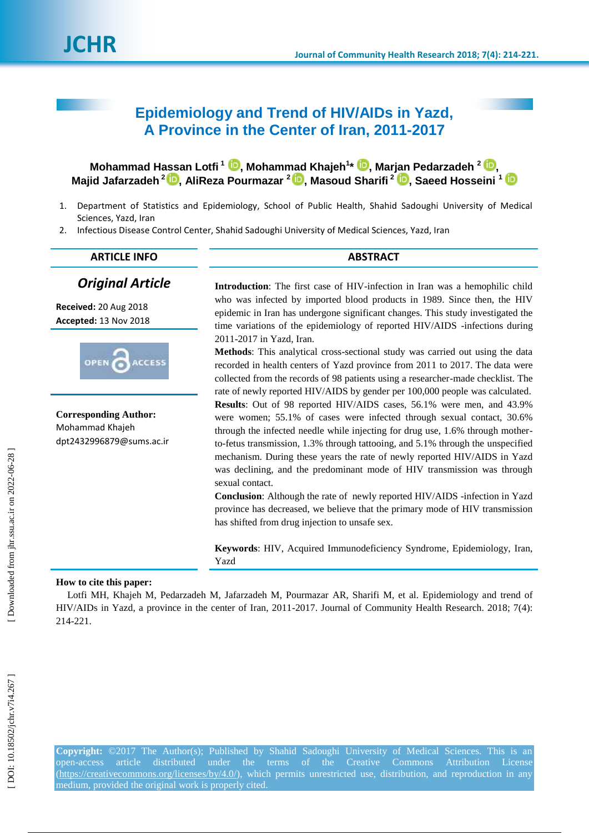# **Epidemiology and Trend of HIV/AIDs in Yazd, A Province in the Center of Iran, 2011-2017**

**Mohammad Hassan Lotfi <sup>1</sup>[,](https://orcid.org/0000-0003-1358-4984) Mohammad Khajeh 1 \* , Marjan Pedarzadeh 2 [,](https://orcid.org/0000-0002-7423-1376) Majid Jafarzadeh 2 [,](https://orcid.org/0000-0002-4977-3990) AliReza Pourmazar 2 [,](https://orcid.org/0000-0002-6105-3048) Masoud Sharifi 2 [,](https://orcid.org/0000-0002-8235-187X) Saeed Hosseini 1**

- 1. Department of Statistics and Epidemiology, School of Public Health, Shahid Sadoughi University of Medical Sciences, Yazd, Iran
- 2. Infectious Disease Control Center, Shahid Sadoughi University of Medical Sciences, Yazd, Iran

# **ARTICLE INFO ABSTRACT**

*Original Article*

**Received:** 20 Aug 2018 **Accepted:** 13 Nov 2018



**Corresponding Author:** Mohammad Khajeh dpt2432996879@sums.ac.ir

**Introduction**: The first case of HIV -infection in Iran was a hemophilic child who was infected by imported blood products in 1989. Since then, the HIV epidemic in Iran has undergone significant changes. This study investigated the time variations of the epidemiology of reported HIV/AIDS -infections during 2011 -2017 in Yazd, Iran.

**Methods**: This analytical cross -sectional study was carried out using the data recorded in health centers of Yazd province from 2011 to 2017. The data were collected from the records of 98 patients using a researcher -made checklist. The rate of newly reported HIV/AIDS by gender per 100,000 people was calculated. **Results**: Out of 98 reported HIV/AIDS cases, 56.1% were men, and 43.9% were women; 55.1% of cases were infected through sexual contact, 30.6% through the infected needle while injecting for drug use, 1.6% through mother to -fetus transmission, 1.3% through tattooing, and 5.1% through the unspecified mechanism. During these years the rate of newly reported HIV/AIDS in Yazd was declining, and the predominant mode of HIV transmission was through sexual contact.

**Conclusion**: Although the rate of newly reported HIV/AIDS -infection in Yazd province has decreased, we believe that the primary mode of HIV transmission has shifted from drug injection to unsafe sex.

**Keywords**: HIV, Acquired Immunodeficiency Syndrome, Epidemiology, Iran, Yazd

### **How to cite this paper :**

Lotfi MH, Khajeh M, Pedarzadeh M, Jafarzadeh M, Pourmazar AR, Sharifi M, et al. Epidemiology and trend of HIV/AIDs in Yazd, a province in the center of Iran, 2011 -2017. Journal of Community Health Research. 2018; 7(4): 214 - 221 .

**Copyright:** ©2017 The Author(s); Published by Shahid Sadoughi University of Medical Sciences. This is an open-access -access article distributed under the terms of the Creative Commons Attribution License [\(https://creativecommons.org/licenses/by/4.0/\)](https://creativecommons.org/licenses/by/4.0/), which permits unrestricted use, distribution, and reproduction in any medium, provided the original work is properly cited.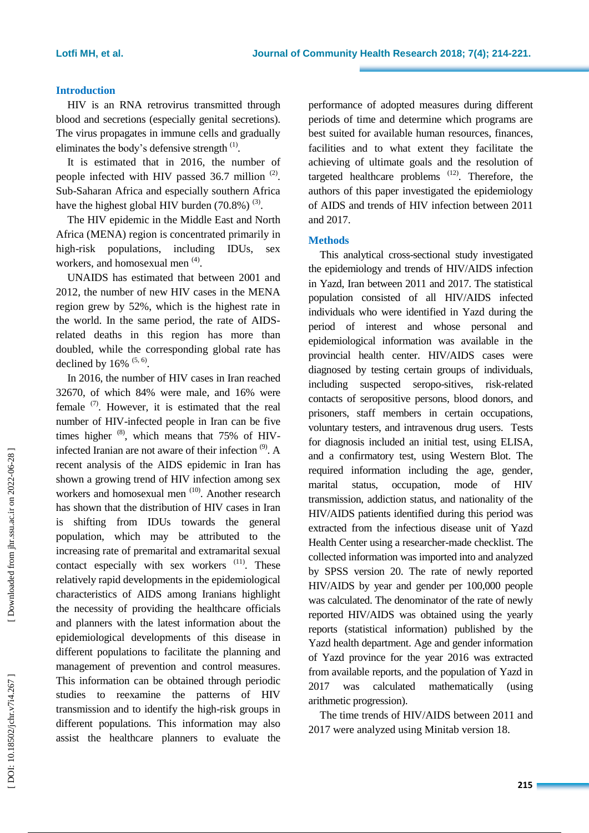## **Introduction**

HIV is an RNA retrovirus transmitted through blood and secretions (especially genital secretions). The virus propagates in immune cells and gradually eliminates the body's defensive strength  $(1)$ .

It is estimated that in 2016, the number of people infected with HIV passed  $36.7$  million  $(2)$ . Sub -Saharan Africa and especially southern Africa have the highest global HIV burden  $(70.8\%)$ <sup>(3)</sup>.

The HIV epidemic in the Middle East and North Africa (MENA ) region is concentrated primarily in high -risk populations, including IDUs , sex workers, and homosexual men<sup>(4)</sup>.

UNAIDS has estimated that between 2001 and 2012, the number of new HIV cases in the MENA region grew by 52%, which is the highest rate in the world. In the same period, the rate of AIDS related deaths in this region ha s more than doubled, while the corresponding global rate has declined by  $16\%$ <sup> $(5, 6)$ </sup>.

In 2016, the number of HIV cases in Iran reached 32670, of which 84% were male , and 16% were female  $(7)$ . However, it is estimated that the real number of HIV -infected people in Iran can be five times higher  $^{(8)}$ , which means that 75% of HIVinfected Iranian are not aware of their infection  $^{(9)}$ . A recent analysis of the AIDS epidemic in Iran has show n a growing trend of HIV infection among sex workers and homosexual men <sup>(10)</sup>. Another research has shown that the distribution of HIV cases in Iran is shifting from IDUs towards the general population, which may be attributed to the increasing rate of premarital and extramarital sexual contact especially with sex workers <sup>(11)</sup>. These relatively rapid developments in the epidemiological characteristics of AIDS among Iranians highlight the necessity of providing the healthcare officials and planners with the latest information about the epidemiological developments of this disease in different populations to facilitate the planning and management of prevention and control measures. This information can be obtained through periodic studies to reexamine the patterns of HIV transmission and to identify the high -risk groups in different populations. This information may also assist the healthcare planners to evaluate the

performance of adopted measures during different periods of time and determine which programs are best suited for available human resources, finances , facilities and to what extent they facilitate the achieving of ultimate goals and the resolution of targeted healthcare problems  $(12)$ . Therefore, the authors of this paper investigate d the epidemiology of AIDS and trends of HIV infection between 2011 and 2017 .

# **Method s**

This analytical cross -sectional study investigated the epidemiology and trends of HIV/AIDS infection in Yazd, Iran between 2011 and 2017. The statistical population consisted of all HIV/AIDS infected individuals who were identified in Yazd during the period of interest and whose personal and epidemiological information was available in the provincial health center. HIV/AIDS cases were diagnosed by testing certain groups of individuals, including suspected seropo -sitives, risk -related contacts of seropositive persons, blood donors, and prisoners, staff members in certain occupations, voluntary testers, and intravenous drug users. Tests for diagnosis included an initial test, using ELISA, and a confirmatory test, using Western Blot. The required information including the age, gender, marital status, occupation, mode of HIV transmission, addiction status, and nationality of the HIV/AIDS patients identified during this period was extracted from the infectious disease unit of Yazd Health Center using a researcher -made checklist. The collected information was imported into and analyzed by SPSS version 20. The rate of newly reported HIV/AIDS by year and gender per 100,000 people was calculated. The denominator of the rate of newly reported HIV/AIDS was obtained using the yearly reports (statistical information) published by the Yazd health department. Age and gender information of Yazd province for the year 2016 was extracted from available reports, and the population of Yazd in 2017 was calculated mathematically (using arithmetic progression ) .

The time trend s of HIV/AIDS between 2011 and 2017 were analyzed using Minitab version 18.

Downloaded from jhr.ssu.ac.ir on 2022-06-28 ]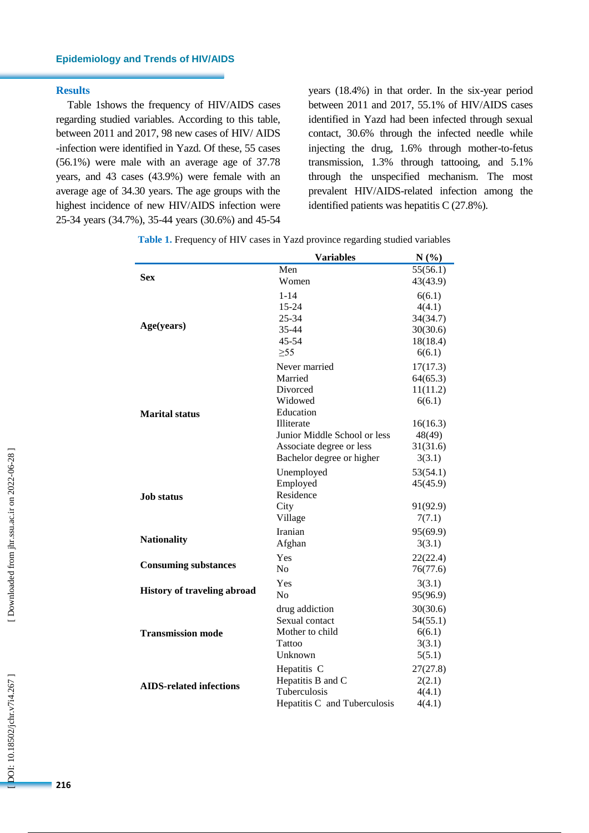# **Epidemiology and Trends of HIV/AIDS**

#### **Results**

Table 1shows the frequency of HIV/AIDS cases regarding studied variables. According to this table, between 2011 and 2017, 98 new cases of HIV/ AIDS -infection were identified in Yazd. Of these, 55 cases (56.1%) were male with an average age of 37.78 years , and 43 cases (43.9%) were female with an average age of 34.30 years. The age groups with the highest incidence of new HIV/AIDS infection were 25 -34 years (34.7%), 35 -44 years (30.6%) and 45 -54

years (18.4%) in that order. In the six -year period between 2011 and 2017, 55.1% of HIV/AIDS cases identified in Yazd had been infected through sexual contact, 30.6% through the infected needle while injecting the drug, 1.6% through mother -to -fetus transmission, 1.3% through tattooing, and 5.1% through the unspecified mechanism. The most prevalent HIV/AIDS -related infection among the identified patients was hepatitis C (27.8%).

|                                    | <b>Variables</b>             | N(%)     |
|------------------------------------|------------------------------|----------|
|                                    | Men                          | 55(56.1) |
| <b>Sex</b>                         | Women                        | 43(43.9) |
|                                    | $1 - 14$                     | 6(6.1)   |
|                                    | 15-24                        | 4(4.1)   |
|                                    | 25-34                        | 34(34.7) |
| Age(years)                         | 35-44                        | 30(30.6) |
|                                    | 45-54                        | 18(18.4) |
|                                    | $\geq 55$                    | 6(6.1)   |
|                                    | Never married                | 17(17.3) |
|                                    | Married                      | 64(65.3) |
|                                    | Divorced                     | 11(11.2) |
|                                    | Widowed                      | 6(6.1)   |
| <b>Marital status</b>              | Education                    |          |
|                                    | Illiterate                   | 16(16.3) |
|                                    | Junior Middle School or less | 48(49)   |
|                                    | Associate degree or less     | 31(31.6) |
|                                    | Bachelor degree or higher    | 3(3.1)   |
|                                    | Unemployed                   | 53(54.1) |
|                                    | Employed                     | 45(45.9) |
| <b>Job status</b>                  | Residence                    |          |
|                                    | City                         | 91(92.9) |
|                                    | Village                      | 7(7.1)   |
|                                    | Iranian                      | 95(69.9) |
| <b>Nationality</b>                 | Afghan                       | 3(3.1)   |
|                                    | Yes                          | 22(22.4) |
| <b>Consuming substances</b>        | No                           | 76(77.6) |
|                                    | Yes                          | 3(3.1)   |
| <b>History of traveling abroad</b> | N <sub>o</sub>               | 95(96.9) |
|                                    | drug addiction               | 30(30.6) |
|                                    | Sexual contact               | 54(55.1) |
| <b>Transmission mode</b>           | Mother to child              | 6(6.1)   |
|                                    | Tattoo                       | 3(3.1)   |
|                                    | Unknown                      | 5(5.1)   |
|                                    | Hepatitis C                  | 27(27.8) |
| <b>AIDS-related infections</b>     | Hepatitis B and C            | 2(2.1)   |
|                                    | Tuberculosis                 | 4(4.1)   |
|                                    | Hepatitis C and Tuberculosis | 4(4.1)   |

**Table 1.** Frequency of HIV cases in Yazd province regarding studied variables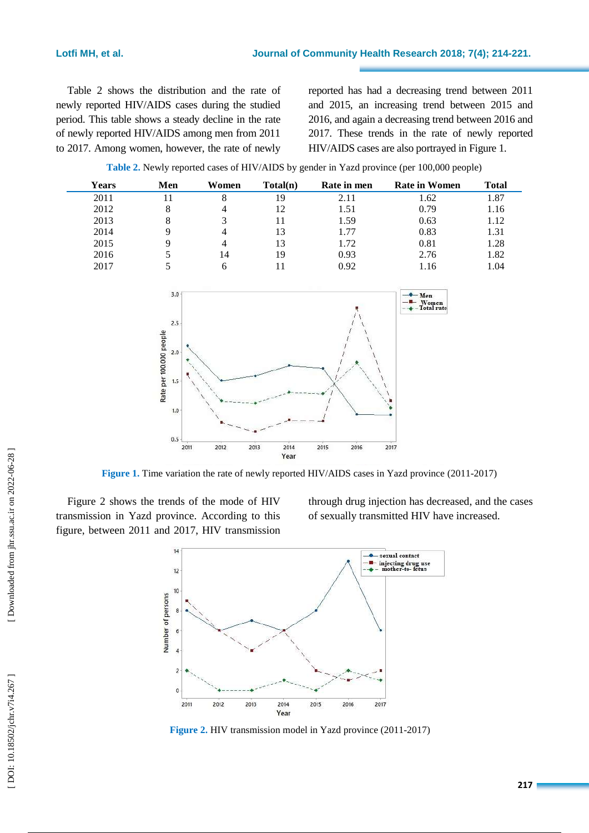Table 2 shows the distribution and the rate of newly reported HIV/AIDS cases during the studied period. This table shows a steady decline in the rate of newly reported HIV/AIDS among men from 2011 to 2017. Among women, however, the rate of newly

reported has had a decreasing trend between 2011 and 2015, an increasing trend between 2015 and 2016, and again a decreasing trend between 2016 and 2017. These trends in the rate of newly reported HIV/AIDS cases are also portrayed in Figure 1.

**Table 2.** Newly reported cases of HIV/AIDS by gender in Yazd province (per 100,000 people)



**Figure 1.** Time variation the rate of newly reported HIV/AIDS cases in Yazd province (2011-2017)

Figure 2 shows the trends of the mode of HIV transmission in Yazd province. According to this figure, between 2011 and 2017, HIV transmission

through drug injection has decreased , and the cases of sexually transmitted HIV have increased.



Figure 2. HIV transmission model in Yazd province (2011-2017)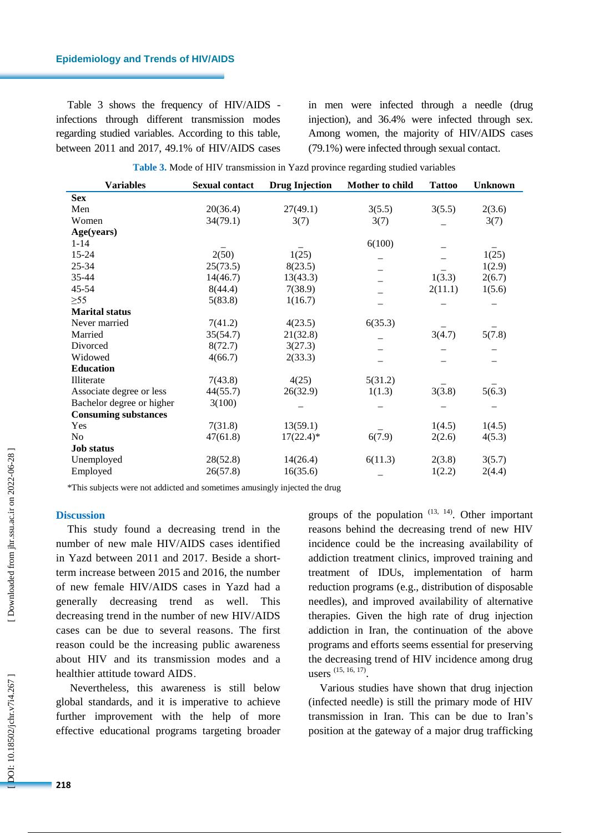Table 3 shows the frequency of HIV/AIDS infections through different transmission modes regarding studied variables. According to this table, between 2011 and 2017, 49.1% of HIV/AIDS cases

in men were infected through a needle (drug injection ) , and 36.4% were infected through sex. Among women, the majority of HIV/AIDS cases (79.1%) were infected through sexual contact .

|  | Table 3. Mode of HIV transmission in Yazd province regarding studied variables |  |  |  |
|--|--------------------------------------------------------------------------------|--|--|--|
|  |                                                                                |  |  |  |

| <b>Variables</b>            | <b>Sexual contact</b> | <b>Drug Injection</b> | Mother to child | <b>Tattoo</b> | <b>Unknown</b> |
|-----------------------------|-----------------------|-----------------------|-----------------|---------------|----------------|
| <b>Sex</b>                  |                       |                       |                 |               |                |
| Men                         | 20(36.4)              | 27(49.1)              | 3(5.5)          | 3(5.5)        | 2(3.6)         |
| Women                       | 34(79.1)              | 3(7)                  | 3(7)            |               | 3(7)           |
| Age(years)                  |                       |                       |                 |               |                |
| $1 - 14$                    |                       |                       | 6(100)          |               |                |
| 15-24                       | 2(50)                 | 1(25)                 |                 |               | 1(25)          |
| 25-34                       | 25(73.5)              | 8(23.5)               |                 |               | 1(2.9)         |
| 35-44                       | 14(46.7)              | 13(43.3)              |                 | 1(3.3)        | 2(6.7)         |
| 45-54                       | 8(44.4)               | 7(38.9)               |                 | 2(11.1)       | 1(5.6)         |
| $\geq 55$                   | 5(83.8)               | 1(16.7)               |                 |               |                |
| <b>Marital status</b>       |                       |                       |                 |               |                |
| Never married               | 7(41.2)               | 4(23.5)               | 6(35.3)         |               |                |
| Married                     | 35(54.7)              | 21(32.8)              |                 | 3(4.7)        | 5(7.8)         |
| Divorced                    | 8(72.7)               | 3(27.3)               |                 |               |                |
| Widowed                     | 4(66.7)               | 2(33.3)               |                 |               |                |
| <b>Education</b>            |                       |                       |                 |               |                |
| Illiterate                  | 7(43.8)               | 4(25)                 | 5(31.2)         |               |                |
| Associate degree or less    | 44(55.7)              | 26(32.9)              | 1(1.3)          | 3(3.8)        | 5(6.3)         |
| Bachelor degree or higher   | 3(100)                |                       |                 |               |                |
| <b>Consuming substances</b> |                       |                       |                 |               |                |
| Yes                         | 7(31.8)               | 13(59.1)              |                 | 1(4.5)        | 1(4.5)         |
| N <sub>0</sub>              | 47(61.8)              | $17(22.4)$ *          | 6(7.9)          | 2(2.6)        | 4(5.3)         |
| <b>Job status</b>           |                       |                       |                 |               |                |
| Unemployed                  | 28(52.8)              | 14(26.4)              | 6(11.3)         | 2(3.8)        | 3(5.7)         |
| Employed                    | 26(57.8)              | 16(35.6)              |                 | 1(2.2)        | 2(4.4)         |

\*This subjects were not addicted and sometimes amusingly injected the drug

#### **Discussion**

This study found a decreasing trend in the number of new male HIV/AIDS cases identified in Yazd between 2011 and 2017 . Beside a short term increase between 2015 and 2016, the number of new female HIV/AIDS cases in Yazd had a generally decreasing trend as well . This decreasing trend in the number of new HIV/AIDS cases can be due to several reasons. The first reason could be the increasing public awareness about HIV and its transmission modes and a healthier attitude toward AIDS .

Nevertheless, this awareness is still below global standards, and it is imperative to achieve further improvement with the help of more effective educational programs targeting broader

groups of the population  $(13, 14)$ . Other important reasons behind the decreasing trend of new HIV incidence could be the increasing availability of addiction treatment clinics, improved training and treatment of IDUs, implementation of harm reduction programs (e.g. , distribution of disposable needles), and improved availability of alternative therapies. Given the high rate of drug injection addiction in Iran, the continuation of the above programs and efforts seems essential for preserving the decreasing trend of HIV incidence among drug users <sup>(15, 16, 17)</sup>.

Various studies have show n that drug injection (infected needle) is still the primary mode of HIV transmission in Iran. This can be due to Iran 's position at the gateway of a major drug trafficking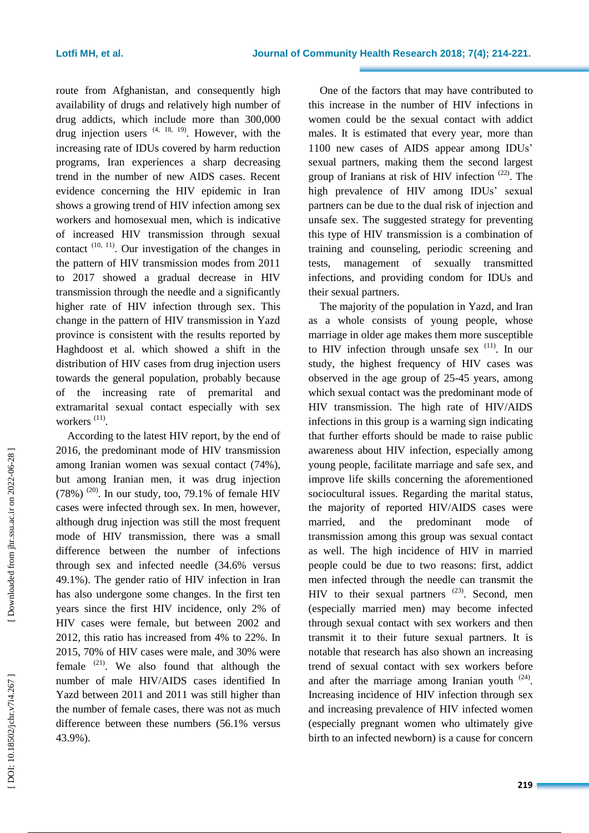route from Afghanistan, and consequently high availability of drugs and relatively high number of drug addicts, which include more than 300,000 drug injection users  $(4, 18, 19)$ . However, with the increasing rate of IDUs covered by harm reduction programs, Iran experiences a sharp dec reasing trend in the number of new AIDS cases. Recent evidence concerning the HIV epidemic in Iran shows a growing trend of HIV infection among sex workers and homosexual men, which is indicative of increased HIV transmission through sexual contact  $(10, 11)$ . Our investigation of the changes in the pattern of HIV transmission modes from 2011 to 2017 showed a gradual decrease in HIV transmission through the needle and a significantly higher rate of HIV infection through sex. This change in the pattern of HIV transmission in Yazd province is consistent with the results reported by Haghdoost et al. which showed a shift in the distribution of HIV cases from drug injection users towards the general population, probably because of the increasing rate of premarital and extramarital sexual contact especially with sex workers<sup>(11)</sup>.

According to the latest HIV report, by the end of 2016, the predominant mode of HIV transmission among Iranian women was sexual contact (74%), but among Iranian men, it was drug injection  $(78%)$ <sup>(20)</sup>. In our study, too, 79.1% of female HIV cases were infected through sex . In men , however, although drug injection was still the most frequent mode of HIV transmission, there was a small difference between the number of infections through sex and infected needle (34.6% versus 49.1%). The gender ratio of HIV infection in Iran has also undergone some changes. In the first ten years since the first HIV incidence, only 2% of HIV cases were female, but between 2002 and 2012, this ratio has increased from 4% to 22% . In 2015, 70% of HIV cases were male , and 30% were female <sup>(21)</sup>. We also found that although the number of male HIV/AIDS cases identified In Yazd between 2011 and 2011 was still higher than the number of female cases, there was not as much difference between these numbers (56.1% versus 43.9%).

One of the factors that may have contributed to this increase in the number of HIV infections in women could be the sexual contact with addict males . It is estimated that every year, more than 1100 new cases of AIDS appear among IDUs' sexual partners, making them the second largest group of Iranians at risk of HIV infection<sup>(22)</sup>. The high prevalence of HIV among IDUs' sexual partners can be due to the dual risk of injection and unsafe sex. The suggested strategy for preventing this type of HIV transmission is a combination of training and counseling, periodic screening and tests, management of sexually transmitted infections, and providing condom for IDUs and their sexual partners .

The majority of the population in Yazd , and Iran as a whole consists of young people, whose marriage in older age makes them more susceptible to HIV infection through unsafe sex <sup>(11)</sup>. In our study, the highest frequency of HIV cases was observed in the age group of 25 -45 years, among which sexual contact was the predominant mode of HIV transmission. The high rate of HIV/AIDS infections in this group is a warning sign indicating that further efforts should be made to raise public awareness about HIV infection, especially among young people, facilitate marriage and safe sex , and improve life skills concerning the aforementioned sociocultural issues. Regarding the marital status, the majority of reported HIV/AIDS cases were married, and the predominant mode of transmission among this group was sexual contact as well. The high incidence of HIV in married people could be due to two reasons: first, addict men infected through the needle can transmit the HIV to their sexual partners  $^{(23)}$ . Second, men (especially married men) may become infected through sexual contact with sex workers and then transmit it to their future sexual partners . It is notable that research has also shown an increasing trend of sexual contact with sex workers before and after the marriage among Iranian youth  $(24)$ . Increasing incidence of HIV infection through sex and increasing prevalence of HIV infected women (especially pregnant women who ultimately give birth to an infected newborn) is a cause for concern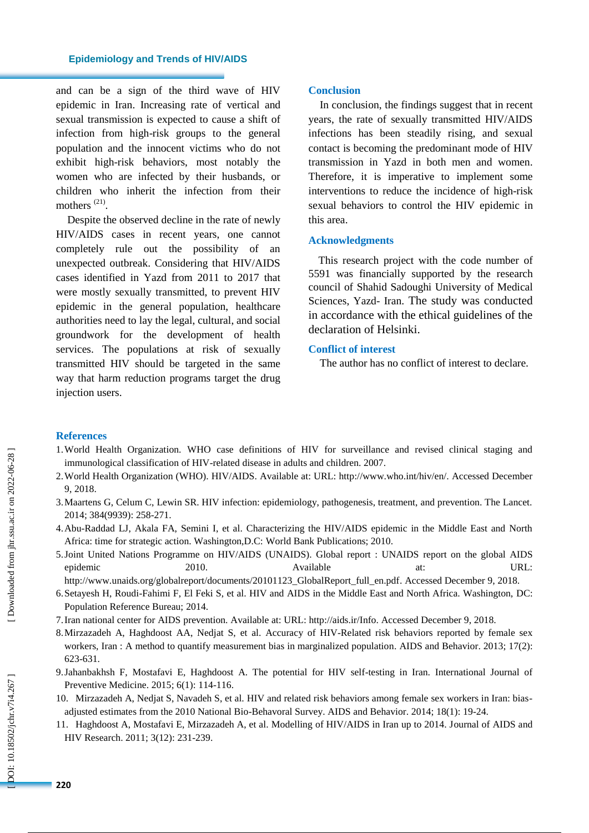and can be a sign of the third wave of HIV epidemic in Iran. Increasing rate of vertical and sexual transmission is expected to cause a shift of infection from high -risk groups to the general population and the innocent victims who do not exhibit high -risk behaviors, most notably the women who are infected by their husbands, or children who inherit the infection from their mothers<sup>(21)</sup>.

Despite the observed decline in the rate of newly HIV/AIDS cases in recent years, one cannot completely rule out the possibility of an unexpected outbreak. Considering that HIV/AIDS cases identified in Yazd from 2011 to 2017 that were mostly sexually transmitted, to prevent HIV epidemic in the general population, healthcare authorities need to lay the legal, cultural , and social groundwork for the development of health services . The populations at risk of sexually transmitted HIV should be targeted in the same way that harm reduction program s target the drug injection users.

#### **Conclusion**

In conclusion, the findings suggest that in recent years, the rate of sexually transmitted HIV/AIDS infections ha s been steadily rising, and sexual contact is becoming the predominant mode of HIV transmission in Yazd in both men and women. Therefore, it is imperative to implement some interventions to reduce the incidence of high -risk sexual behaviors to control the HIV epidemic in this area .

#### **Acknowledgments**

This research project with the code number of 5591 was financially supported by the research council of Shahid Sadoughi University of Medical Sciences, Yazd - Iran. The study was conducted in accordance with the ethical guidelines of the declaration of Helsinki.

#### **Conflict of interest**

The author has no conflict of interest to declare.

#### **References**

- 1.World Health Organization. WHO case definitions of HIV for surveillance and revised clinical staging and immunological classification of HIV -related disease in adults and children. 2007.
- 2.World Health Organization (WHO). HIV/AIDS. Available at : URL:<http://www.who.int/hiv/en/> . Accessed December 9, 2018.
- 3.Maartens G, Celum C, Lewin SR. HIV infection: epidemiology, pathogenesis, treatment, and prevention. The Lancet. 2014; 384(9939): 258 - 271.
- 4.Abu -Raddad LJ, Akala FA, Semini I, et al. Characterizing the HIV/AIDS epidemic in the Middle East and North Africa: time for strategic action. Washington,D.C: World Bank Publications; 2010.
- 5.Joint United Nations Programme on HIV/AIDS (UNAIDS) . Global report : UNAIDS report on the global AIDS epidemic 2010 Available at: URL:

http://www.unaids.org/globalreport/documents/20101123\_GlobalReport\_full\_en.pdf. Accessed December 9, 2018.

- 6.Setayesh H, Roudi -Fahimi F, El Feki S, et al. HIV and AIDS in the Middle East and North Africa. Washington, DC: Population Reference Bureau; 2014.
- 7.Iran national center for AIDS prevention. Available at: URL : <http://aids.ir/Info> . Accessed December 9, 2018.
- 8.Mirzazadeh A, Haghdoost AA, Nedjat S, et al. Accuracy of HIV -Related risk behaviors reported by female sex workers, Iran : A method to quantify measurement bias in marginalized population. AIDS and Behavior. 2013; 17(2): 623 - 631.
- 9.Jahanbakhsh F, Mostafavi E, Haghdoost A. The potential for HIV self -testing in Iran. International Journal of Preventive Medicine. 2015; 6(1): 114 -116.
- 10. Mirzazadeh A, Nedjat S, Navadeh S, et al. HIV and related risk behaviors among female sex workers in Iran: bias adjusted estimates from the 2010 National Bio -Behavoral Survey. AIDS and Behavior. 2014; 18(1): 19 -24.
- 11. Haghdoost A, Mostafavi E, Mirzazadeh A, et al. Modelling of HIV/AIDS in Iran up to 2014. Journal of AIDS and HIV Research. 2011; 3(12): 231 -239.